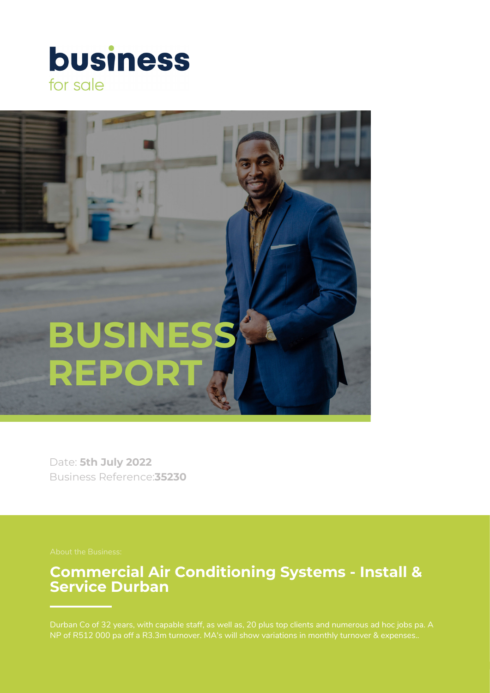



Date: **5th July 2022** Business Reference:**35230**

## **Commercial Air Conditioning Systems - Install & Service Durban**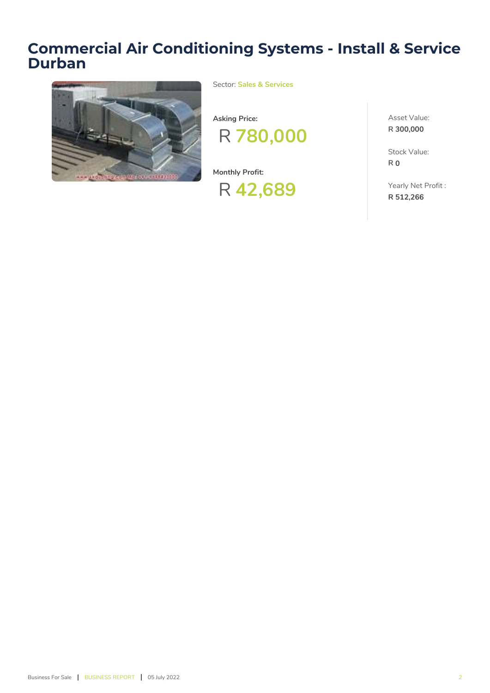# **Commercial Air Conditioning Systems - Install & Service Durban**



Sector: **Sales & Services**



**Monthly Profit:**

R **42,689**

Asset Value: **R 300,000**

Stock Value: **R 0**

Yearly Net Profit : **R 512,266**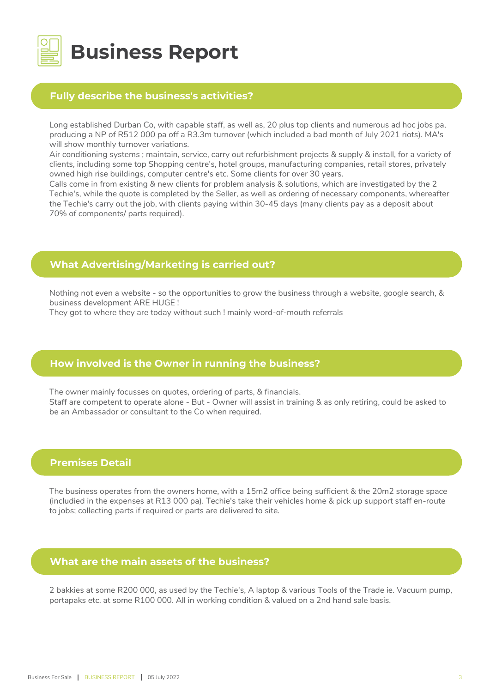

## **Fully describe the business's activities?**

Long established Durban Co, with capable staff, as well as, 20 plus top clients and numerous ad hoc jobs pa, producing a NP of R512 000 pa off a R3.3m turnover (which included a bad month of July 2021 riots). MA's will show monthly turnover variations.

Air conditioning systems ; maintain, service, carry out refurbishment projects & supply & install, for a variety of clients, including some top Shopping centre's, hotel groups, manufacturing companies, retail stores, privately owned high rise buildings, computer centre's etc. Some clients for over 30 years.

Calls come in from existing & new clients for problem analysis & solutions, which are investigated by the 2 Techie's, while the quote is completed by the Seller, as well as ordering of necessary components, whereafter the Techie's carry out the job, with clients paying within 30-45 days (many clients pay as a deposit about 70% of components/ parts required).

## **What Advertising/Marketing is carried out?**

Nothing not even a website - so the opportunities to grow the business through a website, google search, & business development ARE HUGE !

They got to where they are today without such ! mainly word-of-mouth referrals

## **How involved is the Owner in running the business?**

The owner mainly focusses on quotes, ordering of parts, & financials. Staff are competent to operate alone - But - Owner will assist in training & as only retiring, could be asked to be an Ambassador or consultant to the Co when required.

## **Premises Detail**

The business operates from the owners home, with a 15m2 office being sufficient & the 20m2 storage space (includied in the expenses at R13 000 pa). Techie's take their vehicles home & pick up support staff en-route to jobs; collecting parts if required or parts are delivered to site.

#### **What are the main assets of the business?**

2 bakkies at some R200 000, as used by the Techie's, A laptop & various Tools of the Trade ie. Vacuum pump, portapaks etc. at some R100 000. All in working condition & valued on a 2nd hand sale basis.